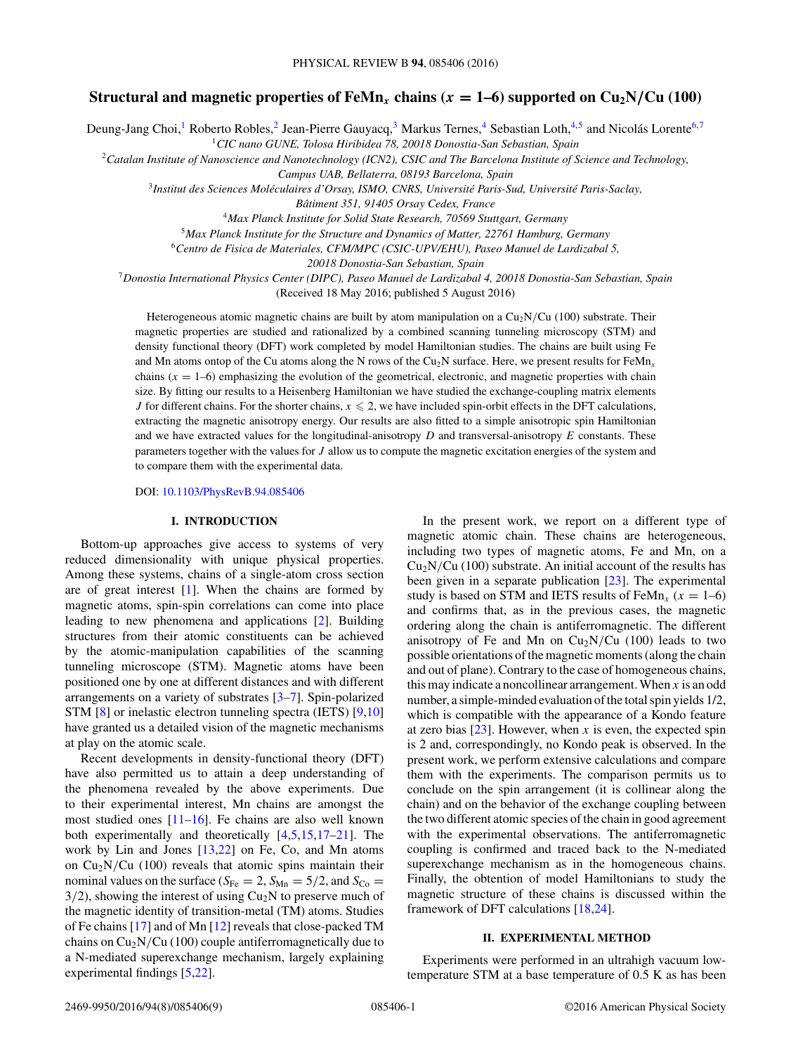# **Structural and magnetic properties of FeMn<sub>***x***</sub> chains (** $x = 1-6$ **) supported on Cu<sub>2</sub>N/Cu (100)**

Deung-Jang Choi,<sup>1</sup> Roberto Robles,<sup>2</sup> Jean-Pierre Gauyacq,<sup>3</sup> Markus Ternes,<sup>4</sup> Sebastian Loth,<sup>4,5</sup> and Nicolás Lorente<sup>6,7</sup>

<sup>1</sup>*CIC nano GUNE, Tolosa Hiribidea 78, 20018 Donostia-San Sebastian, Spain*

<sup>2</sup>*Catalan Institute of Nanoscience and Nanotechnology (ICN2), CSIC and The Barcelona Institute of Science and Technology,*

*Campus UAB, Bellaterra, 08193 Barcelona, Spain*

<sup>3</sup>*Institut des Sciences Moleculaires d'Orsay, ISMO, CNRS, Universit ´ e Paris-Sud, Universit ´ e Paris-Saclay, ´*

*Batiment 351, 91405 Orsay Cedex, France ˆ*

<sup>4</sup>*Max Planck Institute for Solid State Research, 70569 Stuttgart, Germany*

<sup>5</sup>*Max Planck Institute for the Structure and Dynamics of Matter, 22761 Hamburg, Germany*

<sup>6</sup>*Centro de Fisica de Materiales, CFM/MPC (CSIC-UPV/EHU), Paseo Manuel de Lardizabal 5,*

*20018 Donostia-San Sebastian, Spain*

<sup>7</sup>*Donostia International Physics Center (DIPC), Paseo Manuel de Lardizabal 4, 20018 Donostia-San Sebastian, Spain*

(Received 18 May 2016; published 5 August 2016)

Heterogeneous atomic magnetic chains are built by atom manipulation on a Cu<sub>2</sub>N/Cu (100) substrate. Their magnetic properties are studied and rationalized by a combined scanning tunneling microscopy (STM) and density functional theory (DFT) work completed by model Hamiltonian studies. The chains are built using Fe and Mn atoms ontop of the Cu atoms along the N rows of the Cu<sub>2</sub>N surface. Here, we present results for FeMn<sub>x</sub> chains  $(x = 1-6)$  emphasizing the evolution of the geometrical, electronic, and magnetic properties with chain size. By fitting our results to a Heisenberg Hamiltonian we have studied the exchange-coupling matrix elements *J* for different chains. For the shorter chains,  $x \le 2$ , we have included spin-orbit effects in the DFT calculations, extracting the magnetic anisotropy energy. Our results are also fitted to a simple anisotropic spin Hamiltonian and we have extracted values for the longitudinal-anisotropy *D* and transversal-anisotropy *E* constants. These parameters together with the values for *J* allow us to compute the magnetic excitation energies of the system and to compare them with the experimental data.

DOI: [10.1103/PhysRevB.94.085406](http://dx.doi.org/10.1103/PhysRevB.94.085406)

### **I. INTRODUCTION**

Bottom-up approaches give access to systems of very reduced dimensionality with unique physical properties. Among these systems, chains of a single-atom cross section are of great interest [\[1\]](#page-8-0). When the chains are formed by magnetic atoms, spin-spin correlations can come into place leading to new phenomena and applications [\[2\]](#page-8-0). Building structures from their atomic constituents can be achieved by the atomic-manipulation capabilities of the scanning tunneling microscope (STM). Magnetic atoms have been positioned one by one at different distances and with different arrangements on a variety of substrates [\[3–7\]](#page-8-0). Spin-polarized STM [\[8\]](#page-8-0) or inelastic electron tunneling spectra (IETS) [\[9,10\]](#page-8-0) have granted us a detailed vision of the magnetic mechanisms at play on the atomic scale.

Recent developments in density-functional theory (DFT) have also permitted us to attain a deep understanding of the phenomena revealed by the above experiments. Due to their experimental interest, Mn chains are amongst the most studied ones  $[11–16]$ . Fe chains are also well known both experimentally and theoretically [\[4,5,15,17–21\]](#page-8-0). The work by Lin and Jones [\[13,22\]](#page-8-0) on Fe, Co, and Mn atoms on Cu2N*/*Cu (100) reveals that atomic spins maintain their nominal values on the surface ( $S_{Fe} = 2$ ,  $S_{Mn} = 5/2$ , and  $S_{Co} =$  $3/2$ ), showing the interest of using  $Cu<sub>2</sub>N$  to preserve much of the magnetic identity of transition-metal (TM) atoms. Studies of Fe chains [\[17\]](#page-8-0) and of Mn [\[12\]](#page-8-0) reveals that close-packed TM chains on  $Cu<sub>2</sub>N/Cu$  (100) couple antiferromagnetically due to a N-mediated superexchange mechanism, largely explaining experimental findings [\[5,22\]](#page-8-0).

In the present work, we report on a different type of magnetic atomic chain. These chains are heterogeneous, including two types of magnetic atoms, Fe and Mn, on a  $Cu<sub>2</sub>N/Cu$  (100) substrate. An initial account of the results has been given in a separate publication [\[23\]](#page-8-0). The experimental study is based on STM and IETS results of FeMn<sub>x</sub>  $(x = 1-6)$ and confirms that, as in the previous cases, the magnetic ordering along the chain is antiferromagnetic. The different anisotropy of Fe and Mn on  $Cu<sub>2</sub>N/Cu$  (100) leads to two possible orientations of the magnetic moments (along the chain and out of plane). Contrary to the case of homogeneous chains, this may indicate a noncollinear arrangement. When *x* is an odd number, a simple-minded evaluation of the total spin yields 1/2, which is compatible with the appearance of a Kondo feature at zero bias  $[23]$ . However, when *x* is even, the expected spin is 2 and, correspondingly, no Kondo peak is observed. In the present work, we perform extensive calculations and compare them with the experiments. The comparison permits us to conclude on the spin arrangement (it is collinear along the chain) and on the behavior of the exchange coupling between the two different atomic species of the chain in good agreement with the experimental observations. The antiferromagnetic coupling is confirmed and traced back to the N-mediated superexchange mechanism as in the homogeneous chains. Finally, the obtention of model Hamiltonians to study the magnetic structure of these chains is discussed within the framework of DFT calculations [\[18,24\]](#page-8-0).

# **II. EXPERIMENTAL METHOD**

Experiments were performed in an ultrahigh vacuum lowtemperature STM at a base temperature of 0.5 K as has been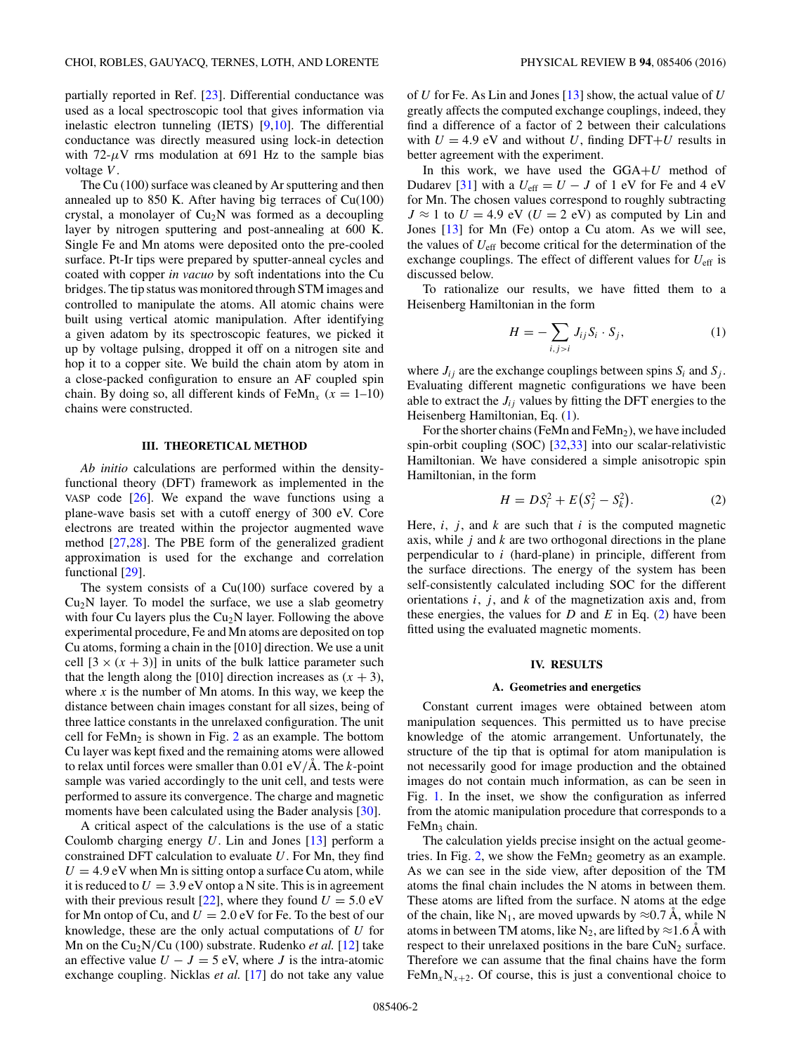<span id="page-1-0"></span>partially reported in Ref. [\[23\]](#page-8-0). Differential conductance was used as a local spectroscopic tool that gives information via inelastic electron tunneling (IETS) [\[9,10\]](#page-8-0). The differential conductance was directly measured using lock-in detection with  $72-\mu$ V rms modulation at 691 Hz to the sample bias voltage *V* .

The Cu (100) surface was cleaned by Ar sputtering and then annealed up to 850 K. After having big terraces of Cu(100) crystal, a monolayer of  $Cu<sub>2</sub>N$  was formed as a decoupling layer by nitrogen sputtering and post-annealing at 600 K. Single Fe and Mn atoms were deposited onto the pre-cooled surface. Pt-Ir tips were prepared by sputter-anneal cycles and coated with copper *in vacuo* by soft indentations into the Cu bridges. The tip status was monitored through STM images and controlled to manipulate the atoms. All atomic chains were built using vertical atomic manipulation. After identifying a given adatom by its spectroscopic features, we picked it up by voltage pulsing, dropped it off on a nitrogen site and hop it to a copper site. We build the chain atom by atom in a close-packed configuration to ensure an AF coupled spin chain. By doing so, all different kinds of  $\text{FeMn}_x$  ( $x = 1-10$ ) chains were constructed.

# **III. THEORETICAL METHOD**

*Ab initio* calculations are performed within the densityfunctional theory (DFT) framework as implemented in the VASP code  $[26]$ . We expand the wave functions using a plane-wave basis set with a cutoff energy of 300 eV. Core electrons are treated within the projector augmented wave method [\[27,28\]](#page-8-0). The PBE form of the generalized gradient approximation is used for the exchange and correlation functional [\[29\]](#page-8-0).

The system consists of a  $Cu(100)$  surface covered by a  $Cu<sub>2</sub>N$  layer. To model the surface, we use a slab geometry with four Cu layers plus the  $Cu<sub>2</sub>N$  layer. Following the above experimental procedure, Fe and Mn atoms are deposited on top Cu atoms, forming a chain in the [010] direction. We use a unit cell  $[3 \times (x + 3)]$  in units of the bulk lattice parameter such that the length along the [010] direction increases as  $(x + 3)$ , where  $x$  is the number of Mn atoms. In this way, we keep the distance between chain images constant for all sizes, being of three lattice constants in the unrelaxed configuration. The unit cell for  $FeMn<sub>2</sub>$  $FeMn<sub>2</sub>$  $FeMn<sub>2</sub>$  is shown in Fig. 2 as an example. The bottom Cu layer was kept fixed and the remaining atoms were allowed to relax until forces were smaller than  $0.01 \text{ eV/A}$ . The *k*-point sample was varied accordingly to the unit cell, and tests were performed to assure its convergence. The charge and magnetic moments have been calculated using the Bader analysis [\[30\]](#page-8-0).

A critical aspect of the calculations is the use of a static Coulomb charging energy *U*. Lin and Jones [\[13\]](#page-8-0) perform a constrained DFT calculation to evaluate *U*. For Mn, they find  $U = 4.9$  eV when Mn is sitting ontop a surface Cu atom, while it is reduced to  $U = 3.9$  eV ontop a N site. This is in agreement with their previous result [\[22\]](#page-8-0), where they found  $U = 5.0$  eV for Mn ontop of Cu, and  $U = 2.0$  eV for Fe. To the best of our knowledge, these are the only actual computations of *U* for Mn on the Cu<sub>2</sub>N/Cu (100) substrate. Rudenko *et al.* [\[12\]](#page-8-0) take an effective value  $U - J = 5$  eV, where *J* is the intra-atomic exchange coupling. Nicklas *et al.* [\[17\]](#page-8-0) do not take any value of *U* for Fe. As Lin and Jones [\[13\]](#page-8-0) show, the actual value of *U* greatly affects the computed exchange couplings, indeed, they find a difference of a factor of 2 between their calculations with  $U = 4.9$  eV and without *U*, finding DFT+*U* results in better agreement with the experiment.

In this work, we have used the GGA+*U* method of Dudarev [\[31\]](#page-8-0) with a  $U_{\text{eff}} = U - J$  of 1 eV for Fe and 4 eV for Mn. The chosen values correspond to roughly subtracting  $J \approx 1$  to  $U = 4.9$  eV ( $U = 2$  eV) as computed by Lin and Jones [\[13\]](#page-8-0) for Mn (Fe) ontop a Cu atom. As we will see, the values of *U*eff become critical for the determination of the exchange couplings. The effect of different values for *U*eff is discussed below.

To rationalize our results, we have fitted them to a Heisenberg Hamiltonian in the form

$$
H = -\sum_{i,j>i} J_{ij} S_i \cdot S_j,\tag{1}
$$

where  $J_{ij}$  are the exchange couplings between spins  $S_i$  and  $S_j$ . Evaluating different magnetic configurations we have been able to extract the  $J_{ij}$  values by fitting the DFT energies to the Heisenberg Hamiltonian, Eq. (1).

For the shorter chains (FeMn and FeMn<sub>2</sub>), we have included spin-orbit coupling (SOC) [\[32,33\]](#page-8-0) into our scalar-relativistic Hamiltonian. We have considered a simple anisotropic spin Hamiltonian, in the form

$$
H = DS_i^2 + E(S_j^2 - S_k^2). \tag{2}
$$

Here,  $i$ ,  $j$ , and  $k$  are such that  $i$  is the computed magnetic axis, while *j* and *k* are two orthogonal directions in the plane perpendicular to *i* (hard-plane) in principle, different from the surface directions. The energy of the system has been self-consistently calculated including SOC for the different orientations  $i$ ,  $j$ , and  $k$  of the magnetization axis and, from these energies, the values for  $D$  and  $E$  in Eq. (2) have been fitted using the evaluated magnetic moments.

#### **IV. RESULTS**

#### **A. Geometries and energetics**

Constant current images were obtained between atom manipulation sequences. This permitted us to have precise knowledge of the atomic arrangement. Unfortunately, the structure of the tip that is optimal for atom manipulation is not necessarily good for image production and the obtained images do not contain much information, as can be seen in Fig. [1.](#page-2-0) In the inset, we show the configuration as inferred from the atomic manipulation procedure that corresponds to a FeMn<sub>3</sub> chain.

The calculation yields precise insight on the actual geome-tries. In Fig. [2,](#page-2-0) we show the FeMn<sub>2</sub> geometry as an example. As we can see in the side view, after deposition of the TM atoms the final chain includes the N atoms in between them. These atoms are lifted from the surface. N atoms at the edge of the chain, like N<sub>1</sub>, are moved upwards by  $\approx 0.7 \text{ Å}$ , while N atoms in between TM atoms, like  $N_2$ , are lifted by  $\approx$  1.6 Å with respect to their unrelaxed positions in the bare  $CuN<sub>2</sub>$  surface. Therefore we can assume that the final chains have the form FeMn<sub>*x*N<sub>*x*+2</sub>. Of course, this is just a conventional choice to</sub>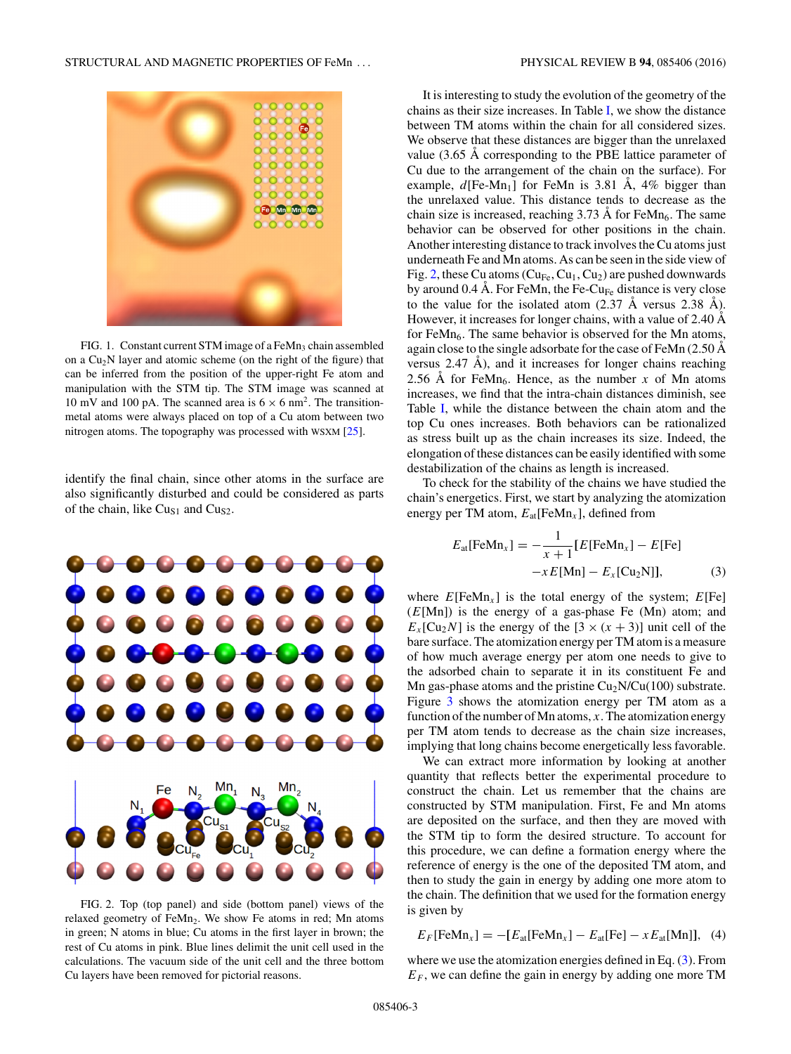<span id="page-2-0"></span>

FIG. 1. Constant current STM image of a  $FeMn<sub>3</sub>$  chain assembled on a  $Cu<sub>2</sub>N$  layer and atomic scheme (on the right of the figure) that can be inferred from the position of the upper-right Fe atom and manipulation with the STM tip. The STM image was scanned at 10 mV and 100 pA. The scanned area is  $6 \times 6$  nm<sup>2</sup>. The transitionmetal atoms were always placed on top of a Cu atom between two nitrogen atoms. The topography was processed with WSXM [\[25\]](#page-8-0).

identify the final chain, since other atoms in the surface are also significantly disturbed and could be considered as parts of the chain, like  $Cu<sub>S1</sub>$  and  $Cu<sub>S2</sub>$ .



FIG. 2. Top (top panel) and side (bottom panel) views of the relaxed geometry of FeMn<sub>2</sub>. We show Fe atoms in red; Mn atoms in green; N atoms in blue; Cu atoms in the first layer in brown; the rest of Cu atoms in pink. Blue lines delimit the unit cell used in the calculations. The vacuum side of the unit cell and the three bottom Cu layers have been removed for pictorial reasons.

It is interesting to study the evolution of the geometry of the chains as their size increases. In Table [I,](#page-3-0) we show the distance between TM atoms within the chain for all considered sizes. We observe that these distances are bigger than the unrelaxed value  $(3.65 \text{ Å corresponding to the PBE lattice parameter of})$ Cu due to the arrangement of the chain on the surface). For example,  $d$ [Fe-Mn<sub>1</sub>] for FeMn is 3.81 A, 4% bigger than the unrelaxed value. This distance tends to decrease as the chain size is increased, reaching  $3.73 \text{ Å}$  for FeMn<sub>6</sub>. The same behavior can be observed for other positions in the chain. Another interesting distance to track involves the Cu atoms just underneath Fe and Mn atoms. As can be seen in the side view of Fig. 2, these Cu atoms ( $Cu_{Fe}$ ,  $Cu_1$ ,  $Cu_2$ ) are pushed downwards by around 0.4 Å. For FeMn, the Fe-Cu<sub>Fe</sub> distance is very close to the value for the isolated atom  $(2.37 \text{ Å} \text{ versus } 2.38 \text{ Å})$ . However, it increases for longer chains, with a value of 2.40 Å for FeMn<sub>6</sub>. The same behavior is observed for the Mn atoms, again close to the single adsorbate for the case of FeMn  $(2.50 \text{ Å})$ versus  $2.47$  Å), and it increases for longer chains reaching 2.56 A for FeMn<sub>6</sub>. Hence, as the number x of Mn atoms increases, we find that the intra-chain distances diminish, see Table [I,](#page-3-0) while the distance between the chain atom and the top Cu ones increases. Both behaviors can be rationalized as stress built up as the chain increases its size. Indeed, the elongation of these distances can be easily identified with some destabilization of the chains as length is increased.

To check for the stability of the chains we have studied the chain's energetics. First, we start by analyzing the atomization energy per TM atom, *E*at[FeMn*<sup>x</sup>* ], defined from

$$
E_{\text{at}}[\text{FeMn}_x] = -\frac{1}{x+1} [E[\text{FeMn}_x] - E[\text{Fe}]
$$
  
-x E[Mn] - E<sub>x</sub>[Cu<sub>2</sub>N]], (3)

where  $E[\text{FeMn}_x]$  is the total energy of the system;  $E[\text{Fe}]$ (*E*[Mn]) is the energy of a gas-phase Fe (Mn) atom; and  $E_x$ [Cu<sub>2</sub>*N*] is the energy of the [3  $\times$  (*x* + 3)] unit cell of the bare surface. The atomization energy per TM atom is a measure of how much average energy per atom one needs to give to the adsorbed chain to separate it in its constituent Fe and Mn gas-phase atoms and the pristine  $Cu<sub>2</sub>N/Cu(100)$  substrate. Figure [3](#page-3-0) shows the atomization energy per TM atom as a function of the number of Mn atoms, *x*. The atomization energy per TM atom tends to decrease as the chain size increases, implying that long chains become energetically less favorable.

We can extract more information by looking at another quantity that reflects better the experimental procedure to construct the chain. Let us remember that the chains are constructed by STM manipulation. First, Fe and Mn atoms are deposited on the surface, and then they are moved with the STM tip to form the desired structure. To account for this procedure, we can define a formation energy where the reference of energy is the one of the deposited TM atom, and then to study the gain in energy by adding one more atom to the chain. The definition that we used for the formation energy is given by

$$
E_F[\text{FeMn}_x] = -[E_{\text{at}}[\text{FeMn}_x] - E_{\text{at}}[\text{Fe}] - xE_{\text{at}}[\text{Mn}]], \quad (4)
$$

where we use the atomization energies defined in Eq. (3). From  $E_F$ , we can define the gain in energy by adding one more TM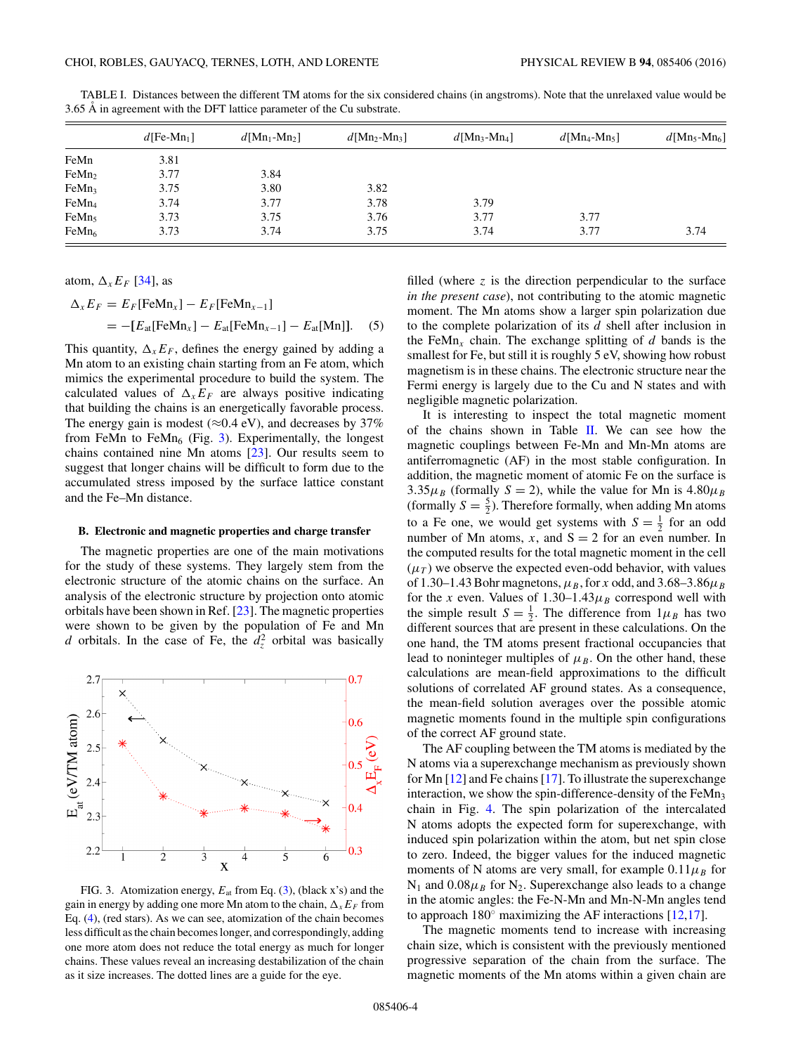|                   | $d[Fe-Mn_1]$ | $d[Mn_1-Mn_2]$ | $d[Mn_2-Mn_3]$ | $d[Mn_3-Mn_4]$ | $d$ [Mn <sub>4</sub> -Mn <sub>5</sub> ] | $d$ [Mn <sub>5</sub> -Mn <sub>6</sub> ] |
|-------------------|--------------|----------------|----------------|----------------|-----------------------------------------|-----------------------------------------|
| FeMn              | 3.81         |                |                |                |                                         |                                         |
| FeMn <sub>2</sub> | 3.77         | 3.84           |                |                |                                         |                                         |
| FeMn <sub>3</sub> | 3.75         | 3.80           | 3.82           |                |                                         |                                         |
| FeMn <sub>4</sub> | 3.74         | 3.77           | 3.78           | 3.79           |                                         |                                         |
| FeMn <sub>5</sub> | 3.73         | 3.75           | 3.76           | 3.77           | 3.77                                    |                                         |
| FeMn <sub>6</sub> | 3.73         | 3.74           | 3.75           | 3.74           | 3.77                                    | 3.74                                    |

<span id="page-3-0"></span>TABLE I. Distances between the different TM atoms for the six considered chains (in angstroms). Note that the unrelaxed value would be 3.65 Å in agreement with the DFT lattice parameter of the Cu substrate.

atom,  $\Delta_x E_F$  [\[34\]](#page-8-0), as

$$
\Delta_x E_F = E_F[\text{FeMn}_x] - E_F[\text{FeMn}_{x-1}]
$$
  
= -[ $E_{\text{at}}[\text{FeMn}_x] - E_{\text{at}}[\text{FeMn}_{x-1}] - E_{\text{at}}[\text{Mn}]]. (5)$ 

This quantity,  $\Delta_x E_F$ , defines the energy gained by adding a Mn atom to an existing chain starting from an Fe atom, which mimics the experimental procedure to build the system. The calculated values of  $\Delta_x E_F$  are always positive indicating that building the chains is an energetically favorable process. The energy gain is modest ( $\approx$ 0.4 eV), and decreases by 37% from FeMn to FeMn<sub>6</sub> (Fig. 3). Experimentally, the longest chains contained nine Mn atoms [\[23\]](#page-8-0). Our results seem to suggest that longer chains will be difficult to form due to the accumulated stress imposed by the surface lattice constant and the Fe–Mn distance.

#### **B. Electronic and magnetic properties and charge transfer**

The magnetic properties are one of the main motivations for the study of these systems. They largely stem from the electronic structure of the atomic chains on the surface. An analysis of the electronic structure by projection onto atomic orbitals have been shown in Ref. [\[23\]](#page-8-0). The magnetic properties were shown to be given by the population of Fe and Mn *d* orbitals. In the case of Fe, the  $d_z^2$  orbital was basically



FIG. 3. Atomization energy, *E*at from Eq. [\(3\)](#page-2-0), (black x's) and the gain in energy by adding one more Mn atom to the chain,  $\Delta_x E_F$  from Eq. [\(4\)](#page-2-0), (red stars). As we can see, atomization of the chain becomes less difficult as the chain becomes longer, and correspondingly, adding one more atom does not reduce the total energy as much for longer chains. These values reveal an increasing destabilization of the chain as it size increases. The dotted lines are a guide for the eye.

filled (where *z* is the direction perpendicular to the surface *in the present case*), not contributing to the atomic magnetic moment. The Mn atoms show a larger spin polarization due to the complete polarization of its *d* shell after inclusion in the FeMn<sub>x</sub> chain. The exchange splitting of  $d$  bands is the smallest for Fe, but still it is roughly 5 eV, showing how robust magnetism is in these chains. The electronic structure near the Fermi energy is largely due to the Cu and N states and with negligible magnetic polarization.

It is interesting to inspect the total magnetic moment of the chains shown in Table [II.](#page-4-0) We can see how the magnetic couplings between Fe-Mn and Mn-Mn atoms are antiferromagnetic (AF) in the most stable configuration. In addition, the magnetic moment of atomic Fe on the surface is 3.35 $\mu_B$  (formally *S* = 2), while the value for Mn is 4.80 $\mu_B$ (formally  $S = \frac{5}{2}$ ). Therefore formally, when adding Mn atoms to a Fe one, we would get systems with  $S = \frac{1}{2}$  for an odd number of Mn atoms,  $x$ , and  $S = 2$  for an even number. In the computed results for the total magnetic moment in the cell  $(\mu_T)$  we observe the expected even-odd behavior, with values of 1.30–1.43 Bohr magnetons,  $\mu_B$ , for *x* odd, and 3.68–3.86 $\mu_B$ for the *x* even. Values of  $1.30-1.43\mu_B$  correspond well with the simple result  $S = \frac{1}{2}$ . The difference from  $1\mu_B$  has two different sources that are present in these calculations. On the one hand, the TM atoms present fractional occupancies that lead to noninteger multiples of  $\mu_B$ . On the other hand, these calculations are mean-field approximations to the difficult solutions of correlated AF ground states. As a consequence, the mean-field solution averages over the possible atomic magnetic moments found in the multiple spin configurations of the correct AF ground state.

The AF coupling between the TM atoms is mediated by the N atoms via a superexchange mechanism as previously shown for Mn [\[12\]](#page-8-0) and Fe chains [\[17\]](#page-8-0). To illustrate the superexchange interaction, we show the spin-difference-density of the  $FeMn<sub>3</sub>$ chain in Fig. [4.](#page-4-0) The spin polarization of the intercalated N atoms adopts the expected form for superexchange, with induced spin polarization within the atom, but net spin close to zero. Indeed, the bigger values for the induced magnetic moments of N atoms are very small, for example  $0.11\mu_B$  for  $N_1$  and  $0.08\mu_B$  for  $N_2$ . Superexchange also leads to a change in the atomic angles: the Fe-N-Mn and Mn-N-Mn angles tend to approach  $180°$  maximizing the AF interactions [\[12,17\]](#page-8-0).

The magnetic moments tend to increase with increasing chain size, which is consistent with the previously mentioned progressive separation of the chain from the surface. The magnetic moments of the Mn atoms within a given chain are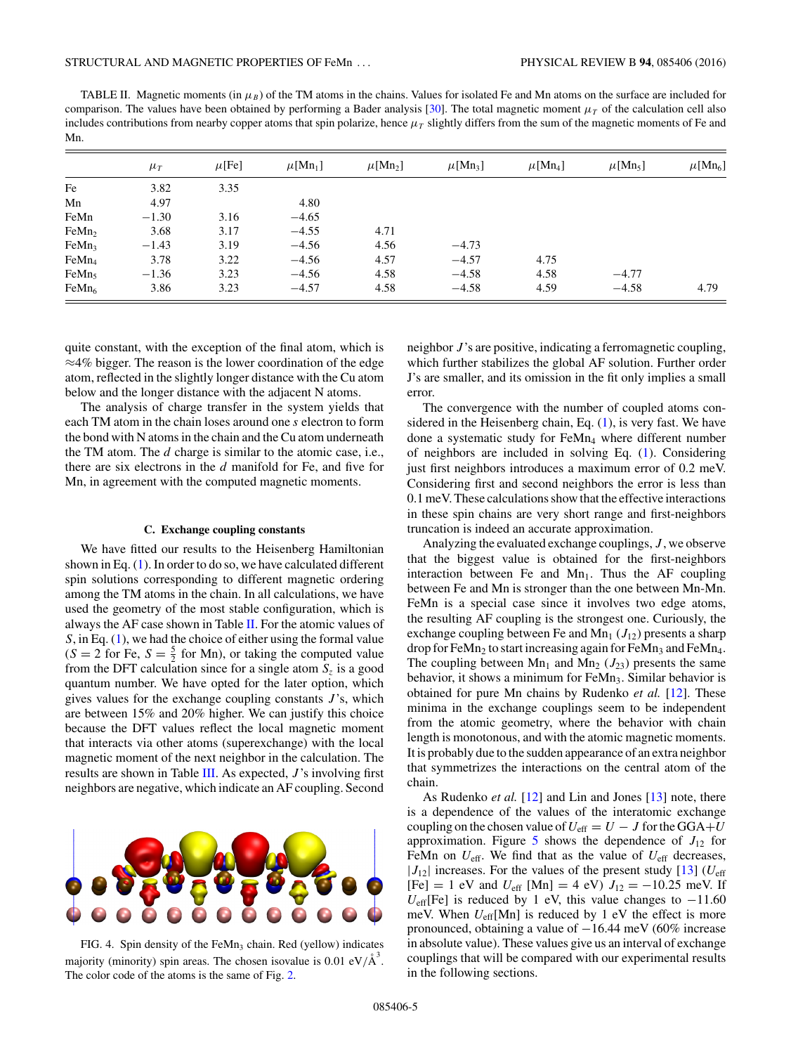<span id="page-4-0"></span>TABLE II. Magnetic moments (in  $\mu_B$ ) of the TM atoms in the chains. Values for isolated Fe and Mn atoms on the surface are included for comparison. The values have been obtained by performing a Bader analysis [\[30\]](#page-8-0). The total magnetic moment  $\mu<sub>T</sub>$  of the calculation cell also includes contributions from nearby copper atoms that spin polarize, hence  $\mu<sub>T</sub>$  slightly differs from the sum of the magnetic moments of Fe and Mn.

|                   | $\mu_T$ | $\mu$ [Fe] | $\mu$ [Mn <sub>1</sub> ] | $\mu$ [Mn <sub>2</sub> ] | $\mu$ [Mn <sub>3</sub> ] | $\mu$ [Mn <sub>4</sub> ] | $\mu$ [Mn <sub>5</sub> ] | $\mu$ [Mn <sub>6</sub> ] |
|-------------------|---------|------------|--------------------------|--------------------------|--------------------------|--------------------------|--------------------------|--------------------------|
| Fe                | 3.82    | 3.35       |                          |                          |                          |                          |                          |                          |
| Mn                | 4.97    |            | 4.80                     |                          |                          |                          |                          |                          |
| FeMn              | $-1.30$ | 3.16       | $-4.65$                  |                          |                          |                          |                          |                          |
| FeMn <sub>2</sub> | 3.68    | 3.17       | $-4.55$                  | 4.71                     |                          |                          |                          |                          |
| FeMn <sub>3</sub> | $-1.43$ | 3.19       | $-4.56$                  | 4.56                     | $-4.73$                  |                          |                          |                          |
| FeMn <sub>4</sub> | 3.78    | 3.22       | $-4.56$                  | 4.57                     | $-4.57$                  | 4.75                     |                          |                          |
| FeMn <sub>5</sub> | $-1.36$ | 3.23       | $-4.56$                  | 4.58                     | $-4.58$                  | 4.58                     | $-4.77$                  |                          |
| FeMn <sub>6</sub> | 3.86    | 3.23       | $-4.57$                  | 4.58                     | $-4.58$                  | 4.59                     | $-4.58$                  | 4.79                     |

quite constant, with the exception of the final atom, which is ≈4% bigger. The reason is the lower coordination of the edge atom, reflected in the slightly longer distance with the Cu atom below and the longer distance with the adjacent N atoms.

The analysis of charge transfer in the system yields that each TM atom in the chain loses around one *s* electron to form the bond with N atoms in the chain and the Cu atom underneath the TM atom. The *d* charge is similar to the atomic case, i.e., there are six electrons in the *d* manifold for Fe, and five for Mn, in agreement with the computed magnetic moments.

# **C. Exchange coupling constants**

We have fitted our results to the Heisenberg Hamiltonian shown in Eq. [\(1\)](#page-1-0). In order to do so, we have calculated different spin solutions corresponding to different magnetic ordering among the TM atoms in the chain. In all calculations, we have used the geometry of the most stable configuration, which is always the AF case shown in Table II. For the atomic values of *S*, in Eq. [\(1\)](#page-1-0), we had the choice of either using the formal value  $(S = 2$  for Fe,  $S = \frac{5}{2}$  for Mn), or taking the computed value from the DFT calculation since for a single atom  $S<sub>z</sub>$  is a good quantum number. We have opted for the later option, which gives values for the exchange coupling constants *J* 's, which are between 15% and 20% higher. We can justify this choice because the DFT values reflect the local magnetic moment that interacts via other atoms (superexchange) with the local magnetic moment of the next neighbor in the calculation. The results are shown in Table [III.](#page-5-0) As expected, *J* 's involving first neighbors are negative, which indicate an AF coupling. Second



FIG. 4. Spin density of the FeMn<sub>3</sub> chain. Red (yellow) indicates majority (minority) spin areas. The chosen isovalue is  $0.01 \text{ eV/A}^3$ . The color code of the atoms is the same of Fig. [2.](#page-2-0)

neighbor *J* 's are positive, indicating a ferromagnetic coupling, which further stabilizes the global AF solution. Further order J's are smaller, and its omission in the fit only implies a small error.

The convergence with the number of coupled atoms considered in the Heisenberg chain, Eq.  $(1)$ , is very fast. We have done a systematic study for FeMn<sub>4</sub> where different number of neighbors are included in solving Eq. [\(1\)](#page-1-0). Considering just first neighbors introduces a maximum error of 0.2 meV. Considering first and second neighbors the error is less than 0.1 meV. These calculations show that the effective interactions in these spin chains are very short range and first-neighbors truncation is indeed an accurate approximation.

Analyzing the evaluated exchange couplings, *J* , we observe that the biggest value is obtained for the first-neighbors interaction between Fe and  $Mn_1$ . Thus the AF coupling between Fe and Mn is stronger than the one between Mn-Mn. FeMn is a special case since it involves two edge atoms, the resulting AF coupling is the strongest one. Curiously, the exchange coupling between Fe and Mn<sub>1</sub>  $(J_{12})$  presents a sharp drop for FeMn<sub>2</sub> to start increasing again for FeMn<sub>3</sub> and FeMn<sub>4</sub>. The coupling between  $Mn_1$  and  $Mn_2$  ( $J_{23}$ ) presents the same behavior, it shows a minimum for FeMn<sub>3</sub>. Similar behavior is obtained for pure Mn chains by Rudenko *et al.* [\[12\]](#page-8-0). These minima in the exchange couplings seem to be independent from the atomic geometry, where the behavior with chain length is monotonous, and with the atomic magnetic moments. It is probably due to the sudden appearance of an extra neighbor that symmetrizes the interactions on the central atom of the chain.

As Rudenko *et al.* [\[12\]](#page-8-0) and Lin and Jones [\[13\]](#page-8-0) note, there is a dependence of the values of the interatomic exchange coupling on the chosen value of  $U_{\text{eff}} = U - J$  for the GGA+*U* approximation. Figure  $5$  shows the dependence of  $J_{12}$  for FeMn on  $U_{\text{eff}}$ . We find that as the value of  $U_{\text{eff}}$  decreases,  $|J_{12}|$  increases. For the values of the present study  $[13]$  ( $U_{\text{eff}}$  $[Fe] = 1$  eV and  $U_{eff}$  [Mn] = 4 eV)  $J_{12} = -10.25$  meV. If  $U_{\text{eff}}$ [Fe] is reduced by 1 eV, this value changes to  $-11.60$ meV. When *U*eff[Mn] is reduced by 1 eV the effect is more pronounced, obtaining a value of −16.44 meV (60% increase in absolute value). These values give us an interval of exchange couplings that will be compared with our experimental results in the following sections.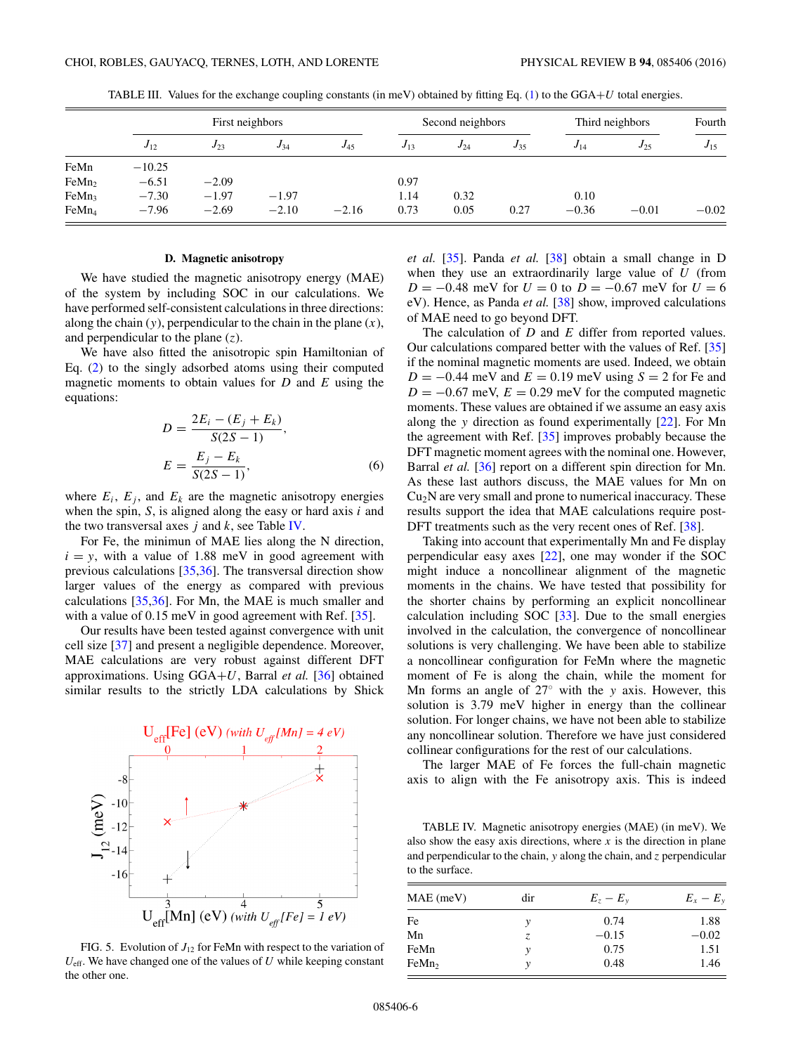<span id="page-5-0"></span>

|                   | First neighbors |          |          |          | Second neighbors |          |          | Third neighbors |          |          |
|-------------------|-----------------|----------|----------|----------|------------------|----------|----------|-----------------|----------|----------|
|                   | $J_{12}$        | $J_{23}$ | $J_{34}$ | $J_{45}$ | $J_{13}$         | $J_{24}$ | $J_{35}$ | $J_{14}$        | $J_{25}$ | $J_{15}$ |
| FeMn              | $-10.25$        |          |          |          |                  |          |          |                 |          |          |
| FeMn <sub>2</sub> | $-6.51$         | $-2.09$  |          |          | 0.97             |          |          |                 |          |          |
| FeMn <sub>3</sub> | $-7.30$         | $-1.97$  | $-1.97$  |          | 1.14             | 0.32     |          | 0.10            |          |          |
| FeMn <sub>4</sub> | $-7.96$         | $-2.69$  | $-2.10$  | $-2.16$  | 0.73             | 0.05     | 0.27     | $-0.36$         | $-0.01$  | $-0.02$  |

TABLE III. Values for the exchange coupling constants (in meV) obtained by fitting Eq. [\(1\)](#page-1-0) to the GGA+*U* total energies.

#### **D. Magnetic anisotropy**

We have studied the magnetic anisotropy energy (MAE) of the system by including SOC in our calculations. We have performed self-consistent calculations in three directions: along the chain  $(y)$ , perpendicular to the chain in the plane  $(x)$ , and perpendicular to the plane (*z*).

We have also fitted the anisotropic spin Hamiltonian of Eq. [\(2\)](#page-1-0) to the singly adsorbed atoms using their computed magnetic moments to obtain values for *D* and *E* using the equations:

$$
D = \frac{2E_i - (E_j + E_k)}{S(2S - 1)},
$$
  
\n
$$
E = \frac{E_j - E_k}{S(2S - 1)},
$$
\n(6)

where  $E_i$ ,  $E_j$ , and  $E_k$  are the magnetic anisotropy energies when the spin, *S*, is aligned along the easy or hard axis *i* and the two transversal axes *j* and *k*, see Table IV.

For Fe, the minimun of MAE lies along the N direction,  $i = y$ , with a value of 1.88 meV in good agreement with previous calculations [\[35,36\]](#page-8-0). The transversal direction show larger values of the energy as compared with previous calculations [\[35,36\]](#page-8-0). For Mn, the MAE is much smaller and with a value of 0.15 meV in good agreement with Ref. [\[35\]](#page-8-0).

Our results have been tested against convergence with unit cell size [\[37\]](#page-8-0) and present a negligible dependence. Moreover, MAE calculations are very robust against different DFT approximations. Using GGA+*U*, Barral *et al.* [\[36\]](#page-8-0) obtained similar results to the strictly LDA calculations by Shick



FIG. 5. Evolution of  $J_{12}$  for FeMn with respect to the variation of  $U_{\text{eff}}$ . We have changed one of the values of  $U$  while keeping constant the other one.

*et al.* [\[35\]](#page-8-0). Panda *et al.* [\[38\]](#page-8-0) obtain a small change in D when they use an extraordinarily large value of *U* (from  $D = -0.48$  meV for  $U = 0$  to  $D = -0.67$  meV for  $U = 6$ eV). Hence, as Panda *et al.* [\[38\]](#page-8-0) show, improved calculations of MAE need to go beyond DFT.

The calculation of *D* and *E* differ from reported values. Our calculations compared better with the values of Ref. [\[35\]](#page-8-0) if the nominal magnetic moments are used. Indeed, we obtain  $D = -0.44$  meV and  $E = 0.19$  meV using  $S = 2$  for Fe and  $D = -0.67$  meV,  $E = 0.29$  meV for the computed magnetic moments. These values are obtained if we assume an easy axis along the *y* direction as found experimentally [\[22\]](#page-8-0). For Mn the agreement with Ref. [\[35\]](#page-8-0) improves probably because the DFT magnetic moment agrees with the nominal one. However, Barral *et al.* [\[36\]](#page-8-0) report on a different spin direction for Mn. As these last authors discuss, the MAE values for Mn on  $Cu<sub>2</sub>N$  are very small and prone to numerical inaccuracy. These results support the idea that MAE calculations require post-DFT treatments such as the very recent ones of Ref. [\[38\]](#page-8-0).

Taking into account that experimentally Mn and Fe display perpendicular easy axes [\[22\]](#page-8-0), one may wonder if the SOC might induce a noncollinear alignment of the magnetic moments in the chains. We have tested that possibility for the shorter chains by performing an explicit noncollinear calculation including SOC [\[33\]](#page-8-0). Due to the small energies involved in the calculation, the convergence of noncollinear solutions is very challenging. We have been able to stabilize a noncollinear configuration for FeMn where the magnetic moment of Fe is along the chain, while the moment for Mn forms an angle of 27◦ with the *y* axis. However, this solution is 3.79 meV higher in energy than the collinear solution. For longer chains, we have not been able to stabilize any noncollinear solution. Therefore we have just considered collinear configurations for the rest of our calculations.

The larger MAE of Fe forces the full-chain magnetic axis to align with the Fe anisotropy axis. This is indeed

TABLE IV. Magnetic anisotropy energies (MAE) (in meV). We also show the easy axis directions, where  $x$  is the direction in plane and perpendicular to the chain, *y* along the chain, and *z* perpendicular to the surface.

| $MAE$ (meV)       | dir | $E_z - E_v$ | $E_x - E_y$ |
|-------------------|-----|-------------|-------------|
| Fe                | ν   | 0.74        | 1.88        |
| Mn                | Z.  | $-0.15$     | $-0.02$     |
| FeMn              | y   | 0.75        | 1.51        |
| FeMn <sub>2</sub> | ν   | 0.48        | 1.46        |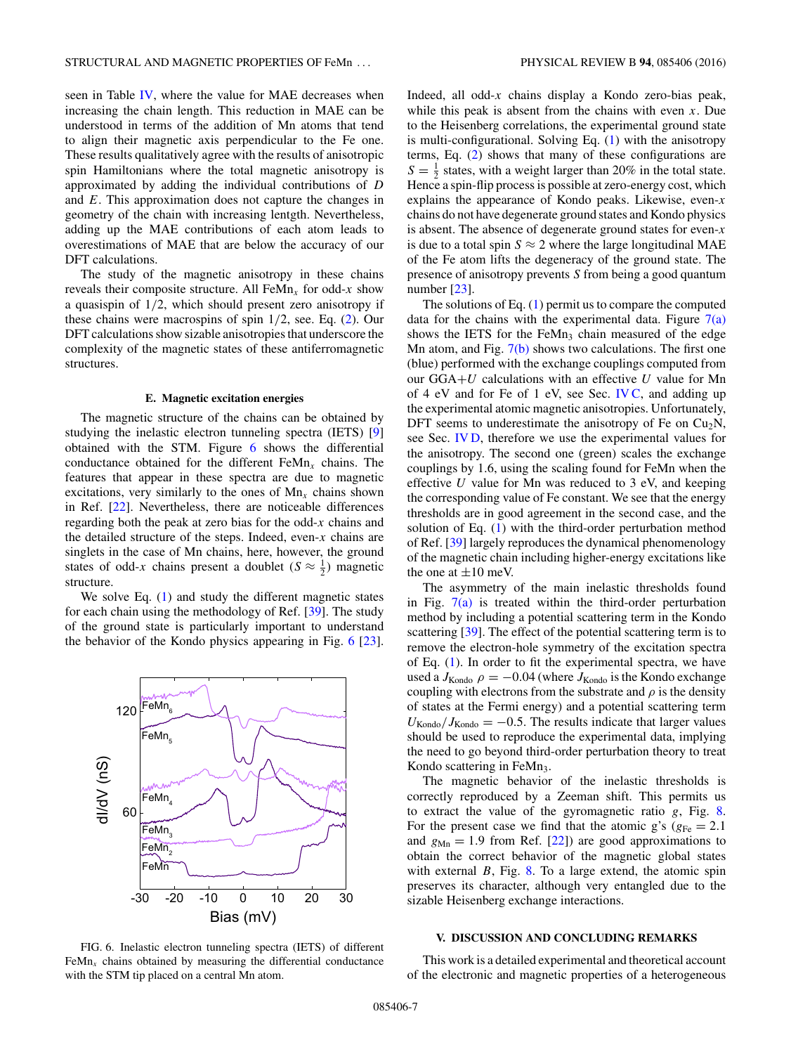seen in Table [IV,](#page-5-0) where the value for MAE decreases when increasing the chain length. This reduction in MAE can be understood in terms of the addition of Mn atoms that tend to align their magnetic axis perpendicular to the Fe one. These results qualitatively agree with the results of anisotropic spin Hamiltonians where the total magnetic anisotropy is approximated by adding the individual contributions of *D* and *E*. This approximation does not capture the changes in geometry of the chain with increasing lentgth. Nevertheless, adding up the MAE contributions of each atom leads to overestimations of MAE that are below the accuracy of our DFT calculations.

The study of the magnetic anisotropy in these chains reveals their composite structure. All  $\text{FeMn}_x$  for odd-*x* show a quasispin of 1*/*2, which should present zero anisotropy if these chains were macrospins of spin 1*/*2, see. Eq. [\(2\)](#page-1-0). Our DFT calculations show sizable anisotropies that underscore the complexity of the magnetic states of these antiferromagnetic structures.

#### **E. Magnetic excitation energies**

The magnetic structure of the chains can be obtained by studying the inelastic electron tunneling spectra (IETS) [\[9\]](#page-8-0) obtained with the STM. Figure 6 shows the differential conductance obtained for the different FeMn*<sup>x</sup>* chains. The features that appear in these spectra are due to magnetic excitations, very similarly to the ones of  $Mn<sub>x</sub>$  chains shown in Ref. [\[22\]](#page-8-0). Nevertheless, there are noticeable differences regarding both the peak at zero bias for the odd-*x* chains and the detailed structure of the steps. Indeed, even-*x* chains are singlets in the case of Mn chains, here, however, the ground states of odd-*x* chains present a doublet ( $S \approx \frac{1}{2}$ ) magnetic structure.

We solve Eq.  $(1)$  and study the different magnetic states for each chain using the methodology of Ref. [\[39\]](#page-8-0). The study of the ground state is particularly important to understand the behavior of the Kondo physics appearing in Fig. 6 [\[23\]](#page-8-0).



FIG. 6. Inelastic electron tunneling spectra (IETS) of different  $FeMn<sub>x</sub>$  chains obtained by measuring the differential conductance with the STM tip placed on a central Mn atom.

Indeed, all odd-*x* chains display a Kondo zero-bias peak, while this peak is absent from the chains with even *x*. Due to the Heisenberg correlations, the experimental ground state is multi-configurational. Solving Eq. [\(1\)](#page-1-0) with the anisotropy terms, Eq. [\(2\)](#page-1-0) shows that many of these configurations are  $S = \frac{1}{2}$  states, with a weight larger than 20% in the total state. Hence a spin-flip process is possible at zero-energy cost, which explains the appearance of Kondo peaks. Likewise, even-*x* chains do not have degenerate ground states and Kondo physics is absent. The absence of degenerate ground states for even-*x* is due to a total spin  $S \approx 2$  where the large longitudinal MAE of the Fe atom lifts the degeneracy of the ground state. The presence of anisotropy prevents *S* from being a good quantum number [\[23\]](#page-8-0).

The solutions of Eq.  $(1)$  permit us to compare the computed data for the chains with the experimental data. Figure  $7(a)$ shows the IETS for the FeMn<sub>3</sub> chain measured of the edge Mn atom, and Fig. [7\(b\)](#page-7-0) shows two calculations. The first one (blue) performed with the exchange couplings computed from our GGA+*U* calculations with an effective *U* value for Mn of 4 eV and for Fe of 1 eV, see Sec. [IV C,](#page-4-0) and adding up the experimental atomic magnetic anisotropies. Unfortunately, DFT seems to underestimate the anisotropy of Fe on  $Cu<sub>2</sub>N$ , see Sec. [IV D,](#page-5-0) therefore we use the experimental values for the anisotropy. The second one (green) scales the exchange couplings by 1.6, using the scaling found for FeMn when the effective *U* value for Mn was reduced to 3 eV, and keeping the corresponding value of Fe constant. We see that the energy thresholds are in good agreement in the second case, and the solution of Eq. [\(1\)](#page-1-0) with the third-order perturbation method of Ref. [\[39\]](#page-8-0) largely reproduces the dynamical phenomenology of the magnetic chain including higher-energy excitations like the one at  $\pm 10$  meV.

The asymmetry of the main inelastic thresholds found in Fig.  $7(a)$  is treated within the third-order perturbation method by including a potential scattering term in the Kondo scattering [\[39\]](#page-8-0). The effect of the potential scattering term is to remove the electron-hole symmetry of the excitation spectra of Eq. [\(1\)](#page-1-0). In order to fit the experimental spectra, we have used a  $J_{Kondo}$   $\rho = -0.04$  (where  $J_{Kondo}$  is the Kondo exchange coupling with electrons from the substrate and  $\rho$  is the density of states at the Fermi energy) and a potential scattering term  $U_{\text{Kondo}}/J_{\text{Kondo}} = -0.5$ . The results indicate that larger values should be used to reproduce the experimental data, implying the need to go beyond third-order perturbation theory to treat Kondo scattering in FeMn<sub>3</sub>.

The magnetic behavior of the inelastic thresholds is correctly reproduced by a Zeeman shift. This permits us to extract the value of the gyromagnetic ratio *g*, Fig. [8.](#page-7-0) For the present case we find that the atomic g's ( $g_{Fe} = 2.1$ ) and  $g_{Mn} = 1.9$  from Ref. [\[22\]](#page-8-0)) are good approximations to obtain the correct behavior of the magnetic global states with external *B*, Fig. [8.](#page-7-0) To a large extend, the atomic spin preserves its character, although very entangled due to the sizable Heisenberg exchange interactions.

#### **V. DISCUSSION AND CONCLUDING REMARKS**

This work is a detailed experimental and theoretical account of the electronic and magnetic properties of a heterogeneous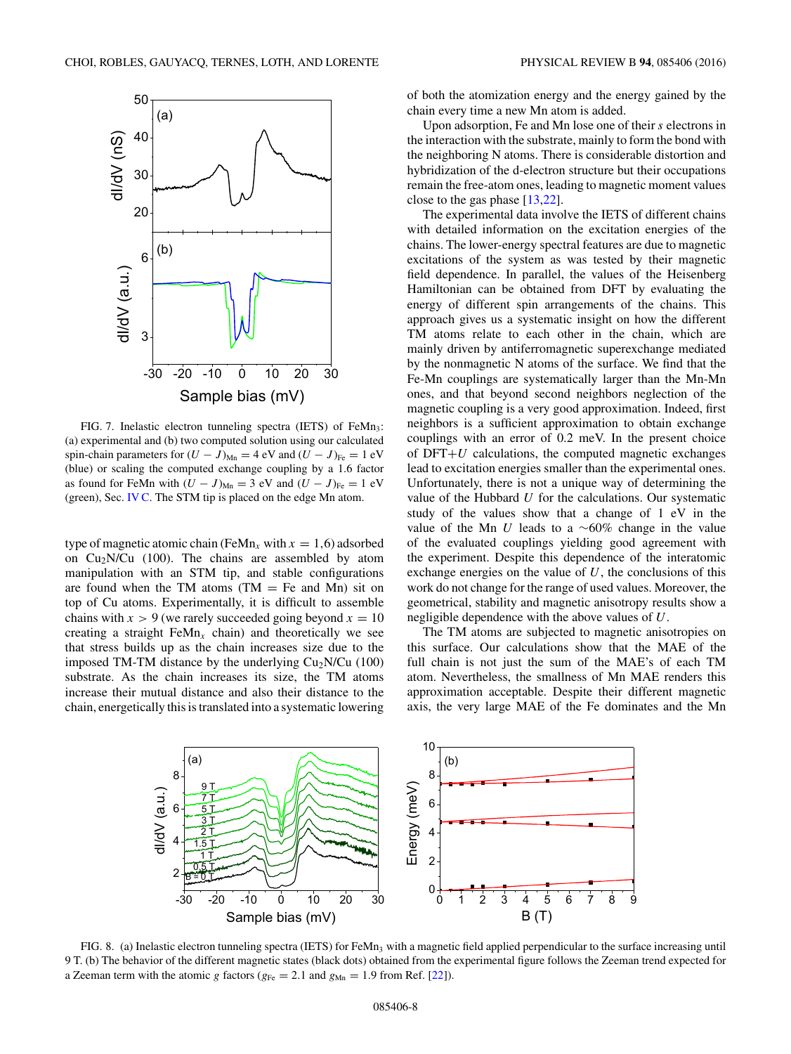<span id="page-7-0"></span>

FIG. 7. Inelastic electron tunneling spectra (IETS) of FeMn<sub>3</sub>: (a) experimental and (b) two computed solution using our calculated spin-chain parameters for  $(U - J)_{Mn} = 4$  eV and  $(U - J)_{Fe} = 1$  eV (blue) or scaling the computed exchange coupling by a 1.6 factor as found for FeMn with  $(U - J)_{\text{Mn}} = 3$  eV and  $(U - J)_{\text{Fe}} = 1$  eV (green), Sec. [IV C.](#page-4-0) The STM tip is placed on the edge Mn atom.

type of magnetic atomic chain (FeMn<sub>x</sub> with  $x = 1,6$ ) adsorbed on  $Cu<sub>2</sub>N/Cu$  (100). The chains are assembled by atom manipulation with an STM tip, and stable configurations are found when the TM atoms  $(TM = Fe$  and Mn) sit on top of Cu atoms. Experimentally, it is difficult to assemble chains with  $x > 9$  (we rarely succeeded going beyond  $x = 10$ creating a straight  $FeMn<sub>x</sub>$  chain) and theoretically we see that stress builds up as the chain increases size due to the imposed TM-TM distance by the underlying  $Cu<sub>2</sub>N/Cu$  (100) substrate. As the chain increases its size, the TM atoms increase their mutual distance and also their distance to the chain, energetically this is translated into a systematic lowering of both the atomization energy and the energy gained by the chain every time a new Mn atom is added.

Upon adsorption, Fe and Mn lose one of their *s* electrons in the interaction with the substrate, mainly to form the bond with the neighboring N atoms. There is considerable distortion and hybridization of the d-electron structure but their occupations remain the free-atom ones, leading to magnetic moment values close to the gas phase [\[13,22\]](#page-8-0).

The experimental data involve the IETS of different chains with detailed information on the excitation energies of the chains. The lower-energy spectral features are due to magnetic excitations of the system as was tested by their magnetic field dependence. In parallel, the values of the Heisenberg Hamiltonian can be obtained from DFT by evaluating the energy of different spin arrangements of the chains. This approach gives us a systematic insight on how the different TM atoms relate to each other in the chain, which are mainly driven by antiferromagnetic superexchange mediated by the nonmagnetic N atoms of the surface. We find that the Fe-Mn couplings are systematically larger than the Mn-Mn ones, and that beyond second neighbors neglection of the magnetic coupling is a very good approximation. Indeed, first neighbors is a sufficient approximation to obtain exchange couplings with an error of 0.2 meV. In the present choice of  $DFT+U$  calculations, the computed magnetic exchanges lead to excitation energies smaller than the experimental ones. Unfortunately, there is not a unique way of determining the value of the Hubbard *U* for the calculations. Our systematic study of the values show that a change of 1 eV in the value of the Mn *U* leads to a ∼60% change in the value of the evaluated couplings yielding good agreement with the experiment. Despite this dependence of the interatomic exchange energies on the value of *U*, the conclusions of this work do not change for the range of used values. Moreover, the geometrical, stability and magnetic anisotropy results show a negligible dependence with the above values of *U*.

The TM atoms are subjected to magnetic anisotropies on this surface. Our calculations show that the MAE of the full chain is not just the sum of the MAE's of each TM atom. Nevertheless, the smallness of Mn MAE renders this approximation acceptable. Despite their different magnetic axis, the very large MAE of the Fe dominates and the Mn



FIG. 8. (a) Inelastic electron tunneling spectra (IETS) for FeMn<sub>3</sub> with a magnetic field applied perpendicular to the surface increasing until 9 T. (b) The behavior of the different magnetic states (black dots) obtained from the experimental figure follows the Zeeman trend expected for a Zeeman term with the atomic *g* factors ( $g_{Fe} = 2.1$  and  $g_{Mn} = 1.9$  from Ref. [\[22\]](#page-8-0)).